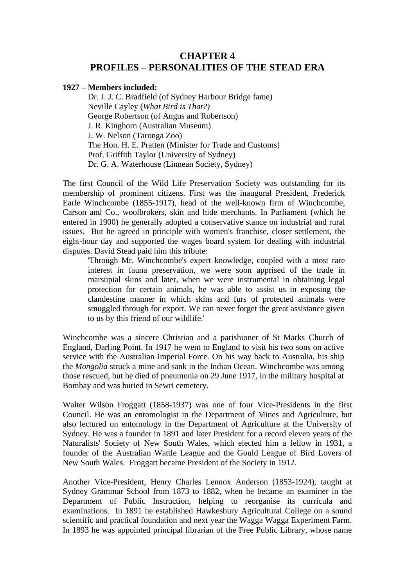## **CHAPTER 4 PROFILES – PERSONALITIES OF THE STEAD ERA**

## **1927 – Members included:**

Dr. J. J. C. Bradfield (of Sydney Harbour Bridge fame) Neville Cayley (*What Bird is That?)* George Robertson (of Angus and Robertson) J. R. Kinghorn (Australian Museum) J. W. Nelson (Taronga Zoo) The Hon. H. E. Pratten (Minister for Trade and Customs) Prof. Griffith Taylor (University of Sydney) Dr. G. A. Waterhouse (Linnean Society, Sydney)

The first Council of the Wild Life Preservation Society was outstanding for its membership of prominent citizens. First was the inaugural President, Frederick Earle Winchcombe (1855-1917), head of the well-known firm of Winchcombe, Carson and Co., woolbrokers, skin and hide merchants. In Parliament (which he entered in 1900) he generally adopted a conservative stance on industrial and rural issues. But he agreed in principle with women's franchise, closer settlement, the eight-hour day and supported the wages board system for dealing with industrial disputes. David Stead paid him this tribute:

'Through Mr. Winchcombe's expert knowledge, coupled with a most rare interest in fauna preservation, we were soon apprised of the trade in marsupial skins and later, when we were instrumental in obtaining legal protection for certain animals, he was able to assist us in exposing the clandestine manner in which skins and furs of protected animals were smuggled through for export. We can never forget the great assistance given to us by this friend of our wildlife.'

Winchcombe was a sincere Christian and a parishioner of St Marks Church of England, Darling Point. In 1917 he went to England to visit his two sons on active service with the Australian Imperial Force. On his way back to Australia, his ship the *Mongolia* struck a mine and sank in the Indian Ocean. Winchcombe was among those rescued, but he died of pneumonia on 29 June 1917, in the military hospital at Bombay and was buried in Sewri cemetery.

Walter Wilson Froggatt (1858-1937) was one of four Vice-Presidents in the first Council. He was an entomologist in the Department of Mines and Agriculture, but also lectured on entomology in the Department of Agriculture at the University of Sydney. He was a founder in 1891 and later President for a record eleven years of the Naturalists' Society of New South Wales, which elected him a fellow in 1931, a founder of the Australian Wattle League and the Gould League of Bird Lovers of New South Wales. Froggatt became President of the Society in 1912.

Another Vice-President, Henry Charles Lennox Anderson (1853-1924), taught at Sydney Grammar School from 1873 to 1882, when he became an examiner in the Department of Public Instruction, helping to reorganise its curricula and examinations. In 1891 he established Hawkesbury Agricultural College on a sound scientific and practical foundation and next year the Wagga Wagga Experiment Farm. In 1893 he was appointed principal librarian of the Free Public Library, whose name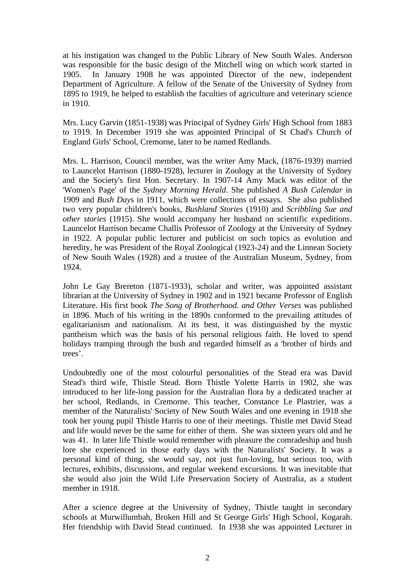at his instigation was changed to the Public Library of New South Wales. Anderson was responsible for the basic design of the Mitchell wing on which work started in 1905. In January 1908 he was appointed Director of the new, independent Department of Agriculture. A fellow of the Senate of the University of Sydney from 1895 to 1919, he helped to establish the faculties of agriculture and veterinary science in 1910.

Mrs. Lucy Garvin (1851-1938) was Principal of Sydney Girls' High School from 1883 to 1919. In December 1919 she was appointed Principal of St Chad's Church of England Girls' School, Cremorne, later to be named Redlands.

Mrs. L. Harrison, Council member, was the writer Amy Mack, (1876-1939) married to Launcelot Harrison (1880-1928), lecturer in Zoology at the University of Sydney and the Society's first Hon. Secretary. In 1907-14 Amy Mack was editor of the 'Women's Page' of the *Sydney Morning Herald*. She published *A Bush Calendar* in 1909 and *Bush Day*s in 1911, which were collections of essays. She also published two very popular children's books, *Bushland Stories* (1910) and *Scribbling Sue and other stories* (1915). She would accompany her husband on scientific expeditions. Launcelot Harrison became Challis Professor of Zoology at the University of Sydney in 1922. A popular public lecturer and publicist on such topics as evolution and heredity, he was President of the Royal Zoological (1923-24) and the Linnean Society of New South Wales (1928) and a trustee of the Australian Museum, Sydney, from 1924.

John Le Gay Brereton (1871-1933), scholar and writer, was appointed assistant librarian at the University of Sydney in 1902 and in 1921 became Professor of English Literature. His first book *The Song of Brotherhood. and Other Verses* was published in 1896. Much of his writing in the 1890s conformed to the prevailing attitudes of egalitarianism and nationalism. At its best, it was distinguished by the mystic pantheism which was the basis of his personal religious faith. He loved to spend holidays tramping through the bush and regarded himself as a 'brother of birds and trees'.

Undoubtedly one of the most colourful personalities of the Stead era was David Stead's third wife, Thistle Stead. Born Thistle Yolette Harris in 1902, she was introduced to her life-long passion for the Australian flora by a dedicated teacher at her school, Redlands, in Cremorne. This teacher, Constance Le Plastrier, was a member of the Naturalists' Society of New South Wales and one evening in 1918 she took her young pupil Thistle Harris to one of their meetings. Thistle met David Stead and life would never be the same for either of them. She was sixteen years old and he was 41. In later life Thistle would remember with pleasure the comradeship and bush lore she experienced in those early days with the Naturalists' Society. It was a personal kind of thing, she would say, not just fun-loving, but serious too, with lectures, exhibits, discussions, and regular weekend excursions. It was inevitable that she would also join the Wild Life Preservation Society of Australia, as a student member in 1918.

After a science degree at the University of Sydney, Thistle taught in secondary schools at Murwillumbah, Broken Hill and St George Girls' High School, Kogarah. Her friendship with David Stead continued. In 1938 she was appointed Lecturer in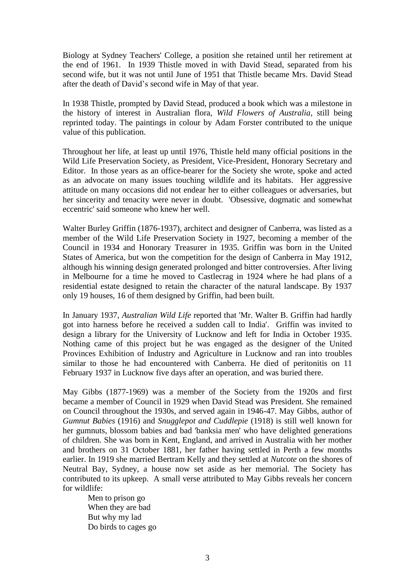Biology at Sydney Teachers' College, a position she retained until her retirement at the end of 1961. In 1939 Thistle moved in with David Stead, separated from his second wife, but it was not until June of 1951 that Thistle became Mrs. David Stead after the death of David's second wife in May of that year.

In 1938 Thistle, prompted by David Stead, produced a book which was a milestone in the history of interest in Australian flora, *Wild Flowers of Australia*, still being reprinted today. The paintings in colour by Adam Forster contributed to the unique value of this publication.

Throughout her life, at least up until 1976, Thistle held many official positions in the Wild Life Preservation Society, as President, Vice-President, Honorary Secretary and Editor. In those years as an office-bearer for the Society she wrote, spoke and acted as an advocate on many issues touching wildlife and its habitats. Her aggressive attitude on many occasions did not endear her to either colleagues or adversaries, but her sincerity and tenacity were never in doubt. 'Obsessive, dogmatic and somewhat eccentric' said someone who knew her well.

Walter Burley Griffin (1876-1937), architect and designer of Canberra, was listed as a member of the Wild Life Preservation Society in 1927, becoming a member of the Council in 1934 and Honorary Treasurer in 1935. Griffin was born in the United States of America, but won the competition for the design of Canberra in May 1912, although his winning design generated prolonged and bitter controversies. After living in Melbourne for a time he moved to Castlecrag in 1924 where he had plans of a residential estate designed to retain the character of the natural landscape. By 1937 only 19 houses, 16 of them designed by Griffin, had been built.

In January 1937, *Australian Wild Life* reported that 'Mr. Walter B. Griffin had hardly got into harness before he received a sudden call to India'. Griffin was invited to design a library for the University of Lucknow and left for India in October 1935. Nothing came of this project but he was engaged as the designer of the United Provinces Exhibition of Industry and Agriculture in Lucknow and ran into troubles similar to those he had encountered with Canberra. He died of peritonitis on 11 February 1937 in Lucknow five days after an operation, and was buried there.

May Gibbs (1877-1969) was a member of the Society from the 1920s and first became a member of Council in 1929 when David Stead was President. She remained on Council throughout the 1930s, and served again in 1946-47. May Gibbs, author of *Gumnut Babies* (1916) and *Snugglepot and Cuddlepie* (1918) is still well known for her gumnuts, blossom babies and bad 'banksia men' who have delighted generations of children. She was born in Kent, England, and arrived in Australia with her mother and brothers on 31 October 1881, her father having settled in Perth a few months earlier. In 1919 she married Bertram Kelly and they settled at *Nutcote* on the shores of Neutral Bay, Sydney, a house now set aside as her memorial. The Society has contributed to its upkeep. A small verse attributed to May Gibbs reveals her concern for wildlife:

Men to prison go When they are bad But why my lad Do birds to cages go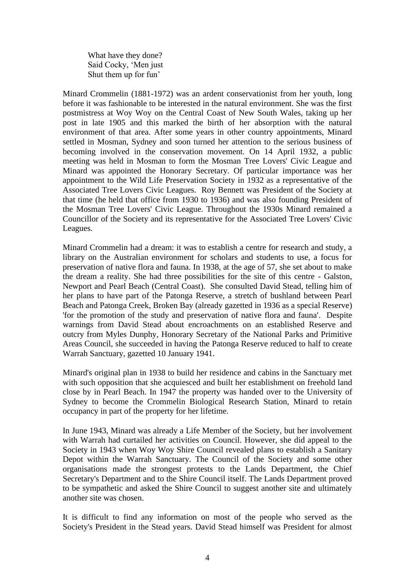What have they done? Said Cocky, 'Men just Shut them up for fun'

Minard Crommelin (1881-1972) was an ardent conservationist from her youth, long before it was fashionable to be interested in the natural environment. She was the first postmistress at Woy Woy on the Central Coast of New South Wales, taking up her post in late 1905 and this marked the birth of her absorption with the natural environment of that area. After some years in other country appointments, Minard settled in Mosman, Sydney and soon turned her attention to the serious business of becoming involved in the conservation movement. On 14 April 1932, a public meeting was held in Mosman to form the Mosman Tree Lovers' Civic League and Minard was appointed the Honorary Secretary. Of particular importance was her appointment to the Wild Life Preservation Society in 1932 as a representative of the Associated Tree Lovers Civic Leagues. Roy Bennett was President of the Society at that time (he held that office from 1930 to 1936) and was also founding President of the Mosman Tree Lovers' Civic League. Throughout the 1930s Minard remained a Councillor of the Society and its representative for the Associated Tree Lovers' Civic Leagues.

Minard Crommelin had a dream: it was to establish a centre for research and study, a library on the Australian environment for scholars and students to use, a focus for preservation of native flora and fauna. In 1938, at the age of 57, she set about to make the dream a reality. She had three possibilities for the site of this centre - Galston, Newport and Pearl Beach (Central Coast). She consulted David Stead, telling him of her plans to have part of the Patonga Reserve, a stretch of bushland between Pearl Beach and Patonga Creek, Broken Bay (already gazetted in 1936 as a special Reserve) 'for the promotion of the study and preservation of native flora and fauna'. Despite warnings from David Stead about encroachments on an established Reserve and outcry from Myles Dunphy, Honorary Secretary of the National Parks and Primitive Areas Council, she succeeded in having the Patonga Reserve reduced to half to create Warrah Sanctuary, gazetted 10 January 1941.

Minard's original plan in 1938 to build her residence and cabins in the Sanctuary met with such opposition that she acquiesced and built her establishment on freehold land close by in Pearl Beach. In 1947 the property was handed over to the University of Sydney to become the Crommelin Biological Research Station, Minard to retain occupancy in part of the property for her lifetime.

In June 1943, Minard was already a Life Member of the Society, but her involvement with Warrah had curtailed her activities on Council. However, she did appeal to the Society in 1943 when Woy Woy Shire Council revealed plans to establish a Sanitary Depot within the Warrah Sanctuary. The Council of the Society and some other organisations made the strongest protests to the Lands Department, the Chief Secretary's Department and to the Shire Council itself. The Lands Department proved to be sympathetic and asked the Shire Council to suggest another site and ultimately another site was chosen.

It is difficult to find any information on most of the people who served as the Society's President in the Stead years. David Stead himself was President for almost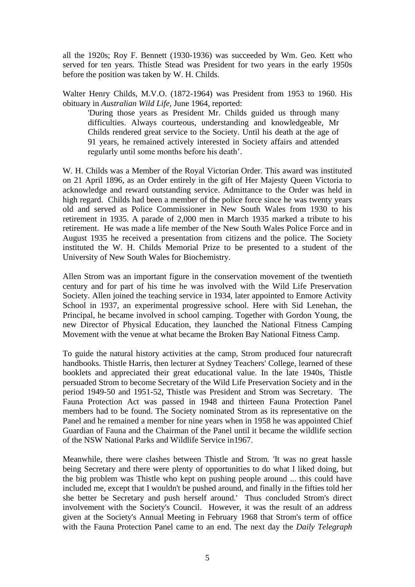all the 1920s; Roy F. Bennett (1930-1936) was succeeded by Wm. Geo. Kett who served for ten years. Thistle Stead was President for two years in the early 1950s before the position was taken by W. H. Childs.

Walter Henry Childs, M.V.O. (1872-1964) was President from 1953 to 1960. His obituary in *Australian Wild Life*, June 1964, reported:

'During those years as President Mr. Childs guided us through many difficulties. Always courteous, understanding and knowledgeable, Mr Childs rendered great service to the Society. Until his death at the age of 91 years, he remained actively interested in Society affairs and attended regularly until some months before his death'.

W. H. Childs was a Member of the Royal Victorian Order. This award was instituted on 21 April 1896, as an Order entirely in the gift of Her Majesty Queen Victoria to acknowledge and reward outstanding service. Admittance to the Order was held in high regard. Childs had been a member of the police force since he was twenty years old and served as Police Commissioner in New South Wales from 1930 to his retirement in 1935. A parade of 2,000 men in March 1935 marked a tribute to his retirement. He was made a life member of the New South Wales Police Force and in August 1935 he received a presentation from citizens and the police. The Society instituted the W. H. Childs Memorial Prize to be presented to a student of the University of New South Wales for Biochemistry.

Allen Strom was an important figure in the conservation movement of the twentieth century and for part of his time he was involved with the Wild Life Preservation Society. Allen joined the teaching service in 1934, later appointed to Enmore Activity School in 1937, an experimental progressive school. Here with Sid Lenehan, the Principal, he became involved in school camping. Together with Gordon Young, the new Director of Physical Education, they launched the National Fitness Camping Movement with the venue at what became the Broken Bay National Fitness Camp.

To guide the natural history activities at the camp, Strom produced four naturecraft handbooks. Thistle Harris, then lecturer at Sydney Teachers' College, learned of these booklets and appreciated their great educational value. In the late 1940s, Thistle persuaded Strom to become Secretary of the Wild Life Preservation Society and in the period 1949-50 and 1951-52, Thistle was President and Strom was Secretary. The Fauna Protection Act was passed in 1948 and thirteen Fauna Protection Panel members had to be found. The Society nominated Strom as its representative on the Panel and he remained a member for nine years when in 1958 he was appointed Chief Guardian of Fauna and the Chairman of the Panel until it became the wildlife section of the NSW National Parks and Wildlife Service in1967.

Meanwhile, there were clashes between Thistle and Strom. 'It was no great hassle being Secretary and there were plenty of opportunities to do what I liked doing, but the big problem was Thistle who kept on pushing people around ... this could have included me, except that I wouldn't be pushed around, and finally in the fifties told her she better be Secretary and push herself around.' Thus concluded Strom's direct involvement with the Society's Council. However, it was the result of an address given at the Society's Annual Meeting in February 1968 that Strom's term of office with the Fauna Protection Panel came to an end. The next day the *Daily Telegraph*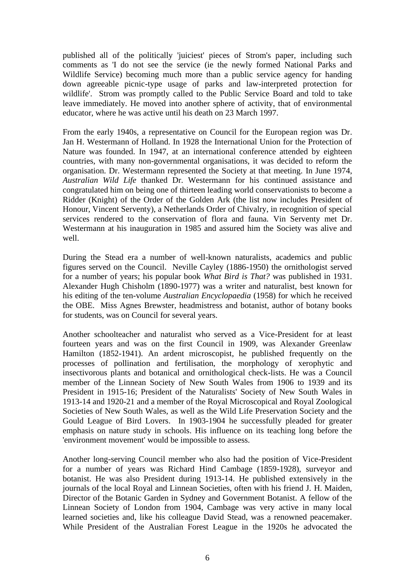published all of the politically 'juiciest' pieces of Strom's paper, including such comments as 'I do not see the service (ie the newly formed National Parks and Wildlife Service) becoming much more than a public service agency for handing down agreeable picnic-type usage of parks and law-interpreted protection for wildlife'. Strom was promptly called to the Public Service Board and told to take leave immediately. He moved into another sphere of activity, that of environmental educator, where he was active until his death on 23 March 1997.

From the early 1940s, a representative on Council for the European region was Dr. Jan H. Westermann of Holland. In 1928 the International Union for the Protection of Nature was founded. In 1947, at an international conference attended by eighteen countries, with many non-governmental organisations, it was decided to reform the organisation. Dr. Westermann represented the Society at that meeting. In June 1974, *Australian Wild Life* thanked Dr. Westermann for his continued assistance and congratulated him on being one of thirteen leading world conservationists to become a Ridder (Knight) of the Order of the Golden Ark (the list now includes President of Honour, Vincent Serventy), a Netherlands Order of Chivalry, in recognition of special services rendered to the conservation of flora and fauna. Vin Serventy met Dr. Westermann at his inauguration in 1985 and assured him the Society was alive and well.

During the Stead era a number of well-known naturalists, academics and public figures served on the Council. Neville Cayley (1886-1950) the ornithologist served for a number of years; his popular book *What Bird is That?* was published in 1931. Alexander Hugh Chisholm (1890-1977) was a writer and naturalist, best known for his editing of the ten-volume *Australian Encyclopaedia* (1958) for which he received the OBE. Miss Agnes Brewster, headmistress and botanist, author of botany books for students, was on Council for several years.

Another schoolteacher and naturalist who served as a Vice-President for at least fourteen years and was on the first Council in 1909, was Alexander Greenlaw Hamilton (1852-1941). An ardent microscopist, he published frequently on the processes of pollination and fertilisation, the morphology of xerophytic and insectivorous plants and botanical and ornithological check-lists. He was a Council member of the Linnean Society of New South Wales from 1906 to 1939 and its President in 1915-16; President of the Naturalists' Society of New South Wales in 1913-14 and 1920-21 and a member of the Royal Microscopical and Royal Zoological Societies of New South Wales, as well as the Wild Life Preservation Society and the Gould League of Bird Lovers. In 1903-1904 he successfully pleaded for greater emphasis on nature study in schools. His influence on its teaching long before the 'environment movement' would be impossible to assess.

Another long-serving Council member who also had the position of Vice-President for a number of years was Richard Hind Cambage (1859-1928), surveyor and botanist. He was also President during 1913-14. He published extensively in the journals of the local Royal and Linnean Societies, often with his friend J. H. Maiden, Director of the Botanic Garden in Sydney and Government Botanist. A fellow of the Linnean Society of London from 1904, Cambage was very active in many local learned societies and, like his colleague David Stead, was a renowned peacemaker. While President of the Australian Forest League in the 1920s he advocated the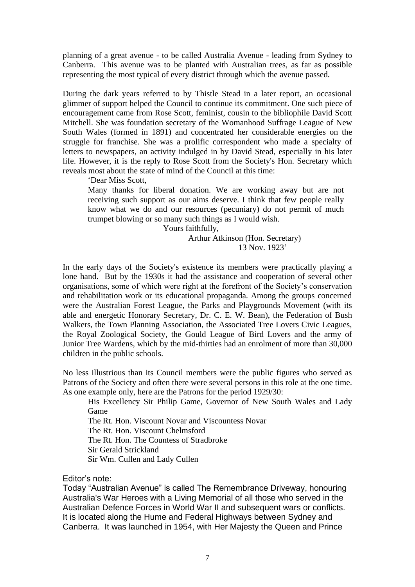planning of a great avenue - to be called Australia Avenue - leading from Sydney to Canberra. This avenue was to be planted with Australian trees, as far as possible representing the most typical of every district through which the avenue passed.

During the dark years referred to by Thistle Stead in a later report, an occasional glimmer of support helped the Council to continue its commitment. One such piece of encouragement came from Rose Scott, feminist, cousin to the bibliophile David Scott Mitchell. She was foundation secretary of the Womanhood Suffrage League of New South Wales (formed in 1891) and concentrated her considerable energies on the struggle for franchise. She was a prolific correspondent who made a specialty of letters to newspapers, an activity indulged in by David Stead, especially in his later life. However, it is the reply to Rose Scott from the Society's Hon. Secretary which reveals most about the state of mind of the Council at this time:

'Dear Miss Scott,

Many thanks for liberal donation. We are working away but are not receiving such support as our aims deserve. I think that few people really know what we do and our resources (pecuniary) do not permit of much trumpet blowing or so many such things as I would wish.

Yours faithfully,

Arthur Atkinson (Hon. Secretary) 13 Nov. 1923'

In the early days of the Society's existence its members were practically playing a lone hand. But by the 1930s it had the assistance and cooperation of several other organisations, some of which were right at the forefront of the Society's conservation and rehabilitation work or its educational propaganda. Among the groups concerned were the Australian Forest League, the Parks and Playgrounds Movement (with its able and energetic Honorary Secretary, Dr. C. E. W. Bean), the Federation of Bush Walkers, the Town Planning Association, the Associated Tree Lovers Civic Leagues, the Royal Zoological Society, the Gould League of Bird Lovers and the army of Junior Tree Wardens, which by the mid-thirties had an enrolment of more than 30,000 children in the public schools.

No less illustrious than its Council members were the public figures who served as Patrons of the Society and often there were several persons in this role at the one time. As one example only, here are the Patrons for the period 1929/30:

His Excellency Sir Philip Game, Governor of New South Wales and Lady Game

The Rt. Hon. Viscount Novar and Viscountess Novar

The Rt. Hon. Viscount Chelmsford

The Rt. Hon. The Countess of Stradbroke

Sir Gerald Strickland

Sir Wm. Cullen and Lady Cullen

Editor's note:

Today "Australian Avenue" is called The Remembrance Driveway, honouring Australia's War Heroes with a Living Memorial of all those who served in the Australian Defence Forces in World War II and subsequent wars or conflicts. It is located along the Hume and Federal Highways between Sydney and Canberra. It was launched in 1954, with Her Majesty the Queen and Prince